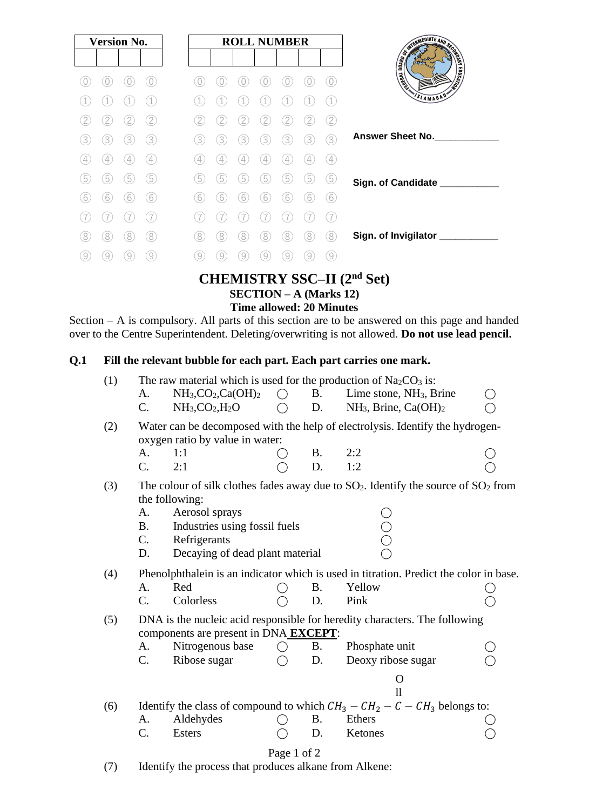|   | <b>Version No.</b> |               |                   |                   |                   | <b>ROLL NUMBER</b> |   |     |   |                   |                                             |
|---|--------------------|---------------|-------------------|-------------------|-------------------|--------------------|---|-----|---|-------------------|---------------------------------------------|
|   |                    |               |                   |                   |                   |                    |   |     |   |                   |                                             |
|   |                    |               | 0                 |                   |                   |                    |   |     |   | 0                 | <b>CONTRACTOR AND RESIDENCE</b>             |
|   |                    |               |                   |                   |                   |                    |   |     |   |                   | SLAMABAD                                    |
|   | 2                  |               | $\overline{2}$    | 2                 |                   |                    |   |     |   | $\sqrt{2}$        |                                             |
| 3 | 3)                 | 3)            | 3                 | 3.                | 3                 | 3                  | 3 | 3.  | 3 | (3)               | <b>Answer Sheet No.</b>                     |
| 4 | $\overline{4}$     | $\frac{1}{4}$ | $\left( 4\right)$ | $\left( 4\right)$ | $\left( 4\right)$ | 4                  | 4 | 4   | 4 | $\left( 4\right)$ |                                             |
| 5 | 5                  | 5             | 5                 | 5                 | 5                 | $\left[5\right]$   | 5 | 5   | 5 | (5)               | Sign. of Candidate __________               |
| 6 | (6)                | (6)           | 6                 | (6)               | (6)               | $\left[6\right]$   | 6 | [6] | 6 | $6^{\circ}$       |                                             |
|   |                    |               |                   |                   |                   |                    |   |     |   |                   |                                             |
| 8 | 8.                 | 8             | 8                 | 8                 | (8)               | 8                  | 8 | 8   | 8 | (8)               | Sign. of Invigilator                        |
| 9 | $\left[9\right]$   | 9             | 9                 | $\left( 9\right)$ | 9                 | 9                  | 9 | 9   | 9 | (9)               |                                             |
|   |                    |               |                   |                   |                   |                    |   |     |   |                   | $C$ UURMICTDV CCC II (And C <sub>a</sub> a) |

#### **CHEMISTRY SSC–II (2nd Set) SECTION – A (Marks 12) Time allowed: 20 Minutes**

Section – A is compulsory. All parts of this section are to be answered on this page and handed over to the Centre Superintendent. Deleting/overwriting is not allowed. **Do not use lead pencil.**

#### **Q.1 Fill the relevant bubble for each part. Each part carries one mark.**

| (1) | The raw material which is used for the production of $Na2CO3$ is:                                                   |                                                                                                                      |             |           |                                                                                                         |  |  |  |  |  |  |  |
|-----|---------------------------------------------------------------------------------------------------------------------|----------------------------------------------------------------------------------------------------------------------|-------------|-----------|---------------------------------------------------------------------------------------------------------|--|--|--|--|--|--|--|
|     | A.                                                                                                                  | $NH3, CO2, Ca(OH)2$                                                                                                  | $\bigcirc$  | <b>B.</b> | Lime stone, NH <sub>3</sub> , Brine                                                                     |  |  |  |  |  |  |  |
|     | $\mathcal{C}$ .                                                                                                     | $NH3,CO2,H2O$                                                                                                        |             | D.        | $NH_3$ , Brine, Ca(OH) <sub>2</sub>                                                                     |  |  |  |  |  |  |  |
| (2) | Water can be decomposed with the help of electrolysis. Identify the hydrogen-<br>oxygen ratio by value in water:    |                                                                                                                      |             |           |                                                                                                         |  |  |  |  |  |  |  |
|     | A.                                                                                                                  | 1:1                                                                                                                  |             | <b>B.</b> | 2:2                                                                                                     |  |  |  |  |  |  |  |
|     | $\mathcal{C}$ .                                                                                                     | 2:1                                                                                                                  |             | D.        | 1:2                                                                                                     |  |  |  |  |  |  |  |
| (3) | A.<br><b>B.</b><br>C.<br>D.                                                                                         | the following:<br>Aerosol sprays<br>Industries using fossil fuels<br>Refrigerants<br>Decaying of dead plant material |             |           | The colour of silk clothes fades away due to $SO_2$ . Identify the source of $SO_2$ from<br>Ŏ<br>O<br>O |  |  |  |  |  |  |  |
| (4) | Phenolphthalein is an indicator which is used in titration. Predict the color in base.                              |                                                                                                                      |             |           |                                                                                                         |  |  |  |  |  |  |  |
|     | A.                                                                                                                  | Red                                                                                                                  |             | <b>B.</b> | Yellow                                                                                                  |  |  |  |  |  |  |  |
|     | C.                                                                                                                  | Colorless                                                                                                            |             | D.        | Pink                                                                                                    |  |  |  |  |  |  |  |
| (5) | DNA is the nucleic acid responsible for heredity characters. The following<br>components are present in DNA EXCEPT: |                                                                                                                      |             |           |                                                                                                         |  |  |  |  |  |  |  |
|     | A.                                                                                                                  | Nitrogenous base                                                                                                     | ( )         | <b>B.</b> | Phosphate unit                                                                                          |  |  |  |  |  |  |  |
|     | C.                                                                                                                  | Ribose sugar                                                                                                         |             | D.        | Deoxy ribose sugar                                                                                      |  |  |  |  |  |  |  |
|     |                                                                                                                     |                                                                                                                      |             |           | O<br>$\overline{\mathbf{1}}$                                                                            |  |  |  |  |  |  |  |
| (6) | Identify the class of compound to which $CH_3 - CH_2 - C - CH_3$ belongs to:                                        |                                                                                                                      |             |           |                                                                                                         |  |  |  |  |  |  |  |
|     | A.                                                                                                                  | Aldehydes                                                                                                            |             | <b>B.</b> | Ethers                                                                                                  |  |  |  |  |  |  |  |
|     | $\mathcal{C}$ .                                                                                                     | <b>Esters</b>                                                                                                        |             | D.        | Ketones                                                                                                 |  |  |  |  |  |  |  |
|     |                                                                                                                     |                                                                                                                      | Page 1 of 2 |           |                                                                                                         |  |  |  |  |  |  |  |

(7) Identify the process that produces alkane from Alkene: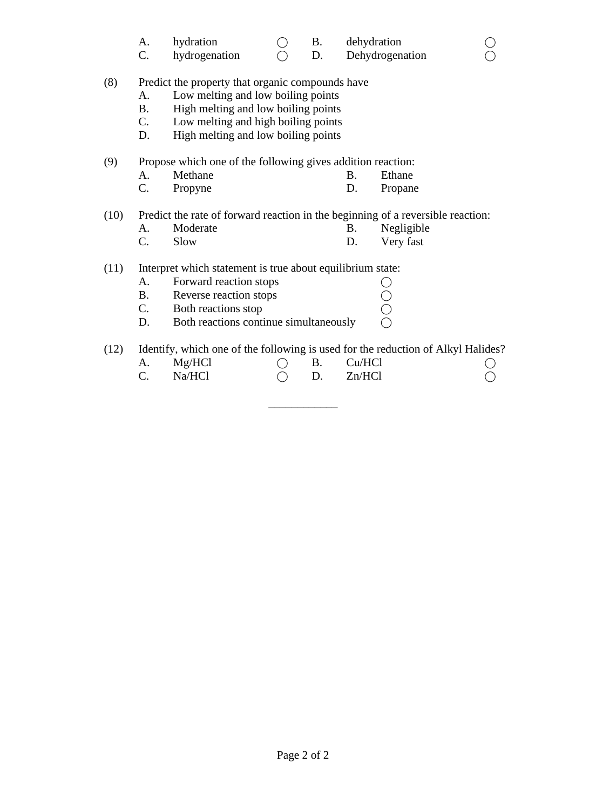|  | hydration |  |  | dehydration |  |
|--|-----------|--|--|-------------|--|
|--|-----------|--|--|-------------|--|

C. hydrogenation  $\bigcirc$  D. Dehydrogenation  $\bigcirc$ 

(8) Predict the property that organic compounds have

- A. Low melting and low boiling points
- B. High melting and low boiling points
- C. Low melting and high boiling points
- D. High melting and low boiling points

(9) Propose which one of the following gives addition reaction:

- A. Methane B. Ethane
- C. Propyne D. Propane

(10) Predict the rate of forward reaction in the beginning of a reversible reaction:

- A. Moderate B. Negligible
- C. Slow D. Very fast

### (11) Interpret which statement is true about equilibrium state:

- A. Forward reaction stops<br>
B. Reverse reaction stops<br>
C. Both reactions stop<br>
D. Both reactions continue simultaneously
- B. Reverse reaction stops
- C. Both reactions stop D. Both reactions continue simultaneously

(12) Identify, which one of the following is used for the reduction of Alkyl Halides? A. Mg/HCl  $\bigcirc$  B. Cu/HCl  $\bigcirc$  $C.$  Na/HCl  $\bigcirc$  D. Zn/HCl  $\bigcirc$ 

\_\_\_\_\_\_\_\_\_\_\_\_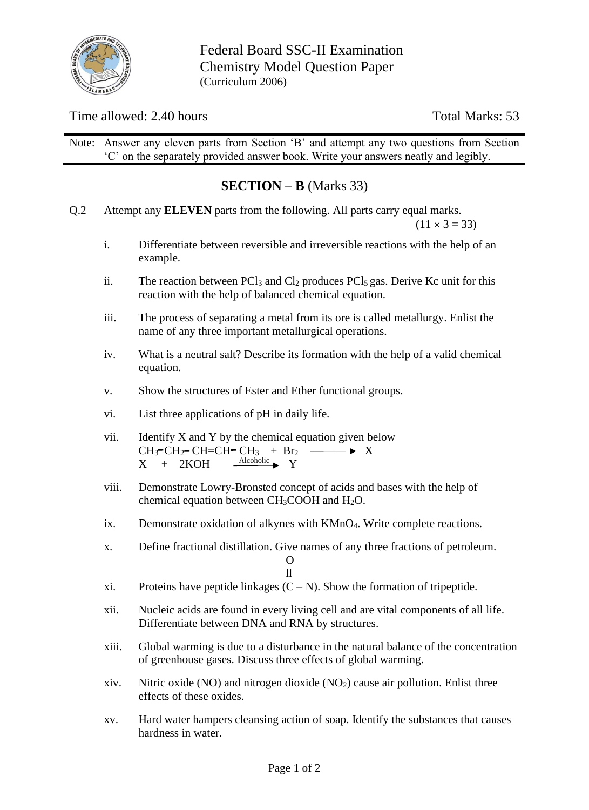

## Time allowed: 2.40 hours Total Marks: 53

Note: Answer any eleven parts from Section 'B' and attempt any two questions from Section 'C' on the separately provided answer book. Write your answers neatly and legibly.

# **SECTION – B** (Marks 33)

Q.2 Attempt any **ELEVEN** parts from the following. All parts carry equal marks.

 $(11 \times 3 = 33)$ 

- i. Differentiate between reversible and irreversible reactions with the help of an example.
- ii. The reaction between  $PCl<sub>3</sub>$  and  $Cl<sub>2</sub>$  produces  $PCl<sub>5</sub>$  gas. Derive Kc unit for this reaction with the help of balanced chemical equation.
- iii. The process of separating a metal from its ore is called metallurgy. Enlist the name of any three important metallurgical operations.
- iv. What is a neutral salt? Describe its formation with the help of a valid chemical equation.
- v. Show the structures of Ester and Ether functional groups.
- vi. List three applications of pH in daily life.
- vii. Identify  $X$  and  $Y$  by the chemical equation given below  $CH_3$ <sup>-</sup>CH<sub>2</sub> CH=CH-CH<sub>3</sub> + Br<sub>2</sub> -  $\longrightarrow$  X  $X + 2KOH$ Alcoholic Y
- viii. Demonstrate Lowry-Bronsted concept of acids and bases with the help of chemical equation between  $CH<sub>3</sub>COOH$  and  $H<sub>2</sub>O$ .
- ix. Demonstrate oxidation of alkynes with KMnO4. Write complete reactions.
- x. Define fractional distillation. Give names of any three fractions of petroleum. O

ll

- xi. Proteins have peptide linkages  $(C N)$ . Show the formation of tripeptide.
- xii. Nucleic acids are found in every living cell and are vital components of all life. Differentiate between DNA and RNA by structures.
- xiii. Global warming is due to a disturbance in the natural balance of the concentration of greenhouse gases. Discuss three effects of global warming.
- xiv. Nitric oxide (NO) and nitrogen dioxide (NO<sub>2</sub>) cause air pollution. Enlist three effects of these oxides.
- xv. Hard water hampers cleansing action of soap. Identify the substances that causes hardness in water.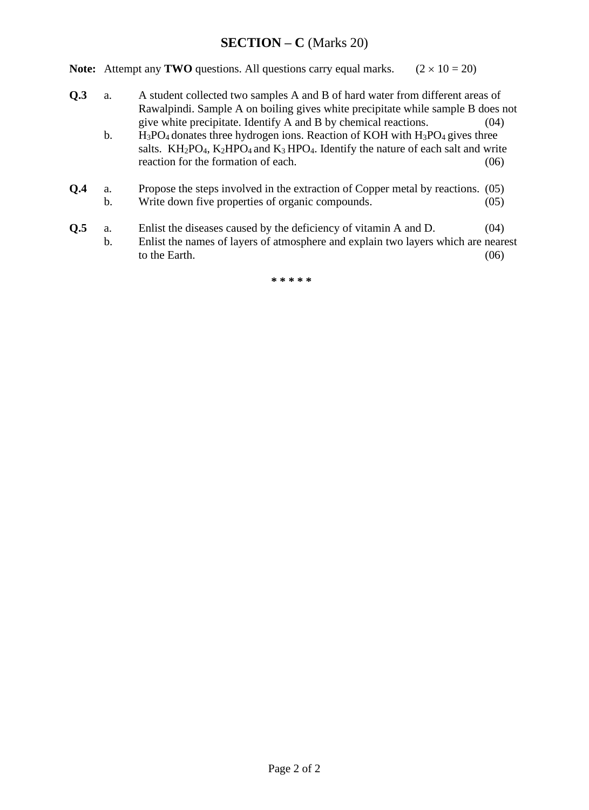## **SECTION – C** (Marks 20)

**Note:** Attempt any **TWO** questions. All questions carry equal marks.  $(2 \times 10 = 20)$ 

- **Q.3** a. A student collected two samples A and B of hard water from different areas of Rawalpindi. Sample A on boiling gives white precipitate while sample B does not give white precipitate. Identify A and B by chemical reactions. (04)
	- b.  $H_3PO_4$  donates three hydrogen ions. Reaction of KOH with  $H_3PO_4$  gives three salts.  $KH_2PO_4$ ,  $K_2HPO_4$  and  $K_3HPO_4$ . Identify the nature of each salt and write reaction for the formation of each. (06)
- **Q.4** a. Propose the steps involved in the extraction of Copper metal by reactions. (05) b. Write down five properties of organic compounds. (05)
- **Q.5** a. Enlist the diseases caused by the deficiency of vitamin A and D. (04) b. Enlist the names of layers of atmosphere and explain two layers which are nearest to the Earth.  $(06)$

**\* \* \* \* \***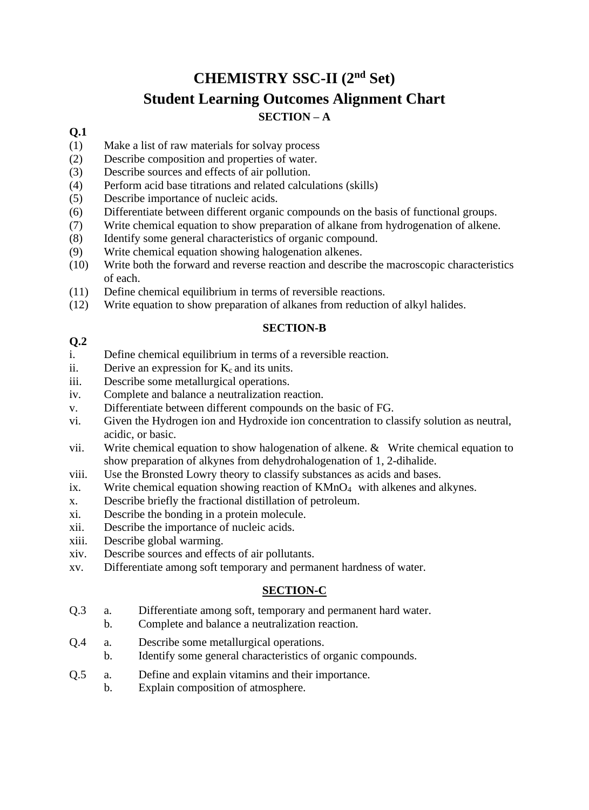# **CHEMISTRY SSC-II (2nd Set) Student Learning Outcomes Alignment Chart SECTION – A**

## **Q.1**

- (1) Make a list of raw materials for solvay process
- (2) Describe composition and properties of water.
- (3) Describe sources and effects of air pollution.
- (4) Perform acid base titrations and related calculations (skills)
- (5) Describe importance of nucleic acids.
- (6) Differentiate between different organic compounds on the basis of functional groups.
- (7) Write chemical equation to show preparation of alkane from hydrogenation of alkene.
- (8) Identify some general characteristics of organic compound.
- (9) Write chemical equation showing halogenation alkenes.
- (10) Write both the forward and reverse reaction and describe the macroscopic characteristics of each.
- (11) Define chemical equilibrium in terms of reversible reactions.
- (12) Write equation to show preparation of alkanes from reduction of alkyl halides.

#### **SECTION-B**

#### **Q.2**

- i. Define chemical equilibrium in terms of a reversible reaction.
- ii. Derive an expression for  $K_c$  and its units.
- iii. Describe some metallurgical operations.
- iv. Complete and balance a neutralization reaction.
- v. Differentiate between different compounds on the basic of FG.
- vi. Given the Hydrogen ion and Hydroxide ion concentration to classify solution as neutral, acidic, or basic.
- vii. Write chemical equation to show halogenation of alkene. & Write chemical equation to show preparation of alkynes from dehydrohalogenation of 1, 2-dihalide.
- viii. Use the Bronsted Lowry theory to classify substances as acids and bases.
- ix. Write chemical equation showing reaction of KMnO<sub>4</sub> with alkenes and alkynes.
- x. Describe briefly the fractional distillation of petroleum.
- xi. Describe the bonding in a protein molecule.
- xii. Describe the importance of nucleic acids.
- xiii. Describe global warming.
- xiv. Describe sources and effects of air pollutants.
- xv. Differentiate among soft temporary and permanent hardness of water.

#### **SECTION-C**

- Q.3 a. Differentiate among soft, temporary and permanent hard water.
	- b. Complete and balance a neutralization reaction.
- Q.4 a. Describe some metallurgical operations.
- b. Identify some general characteristics of organic compounds.
- Q.5 a. Define and explain vitamins and their importance.
	- b. Explain composition of atmosphere.